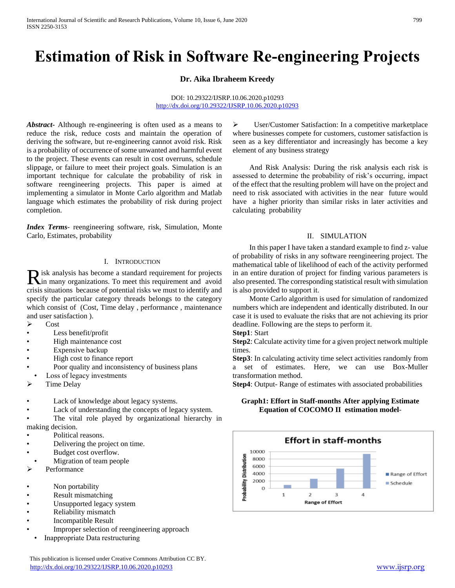# **Estimation of Risk in Software Re-engineering Projects**

# **Dr. Aika Ibraheem Kreedy**

#### DOI: 10.29322/IJSRP.10.06.2020.p10293 <http://dx.doi.org/10.29322/IJSRP.10.06.2020.p10293>

*Abstract***-** Although re-engineering is often used as a means to reduce the risk, reduce costs and maintain the operation of deriving the software, but re-engineering cannot avoid risk. Risk is a probability of occurrence of some unwanted and harmful event to the project. These events can result in cost overruns, schedule slippage, or failure to meet their project goals. Simulation is an important technique for calculate the probability of risk in software reengineering projects. This paper is aimed at implementing a simulator in Monte Carlo algorithm and Matlab language which estimates the probability of risk during project completion.

*Index Terms*- reengineering software, risk, Simulation, Monte Carlo, Estimates, probability

### I. INTRODUCTION

isk analysis has become a standard requirement for projects R isk analysis has become a standard requirement for projects in many organizations. To meet this requirement and avoid crisis situations because of potential risks we must to identify and specify the particular category threads belongs to the category which consist of (Cost, Time delay , performance , maintenance and user satisfaction ).

- $\triangleright$  Cost
- Less benefit/profit
- High maintenance cost
- Expensive backup
- High cost to finance report
- Poor quality and inconsistency of business plans
- Loss of legacy investments
- Time Delay
- Lack of knowledge about legacy systems.
- Lack of understanding the concepts of legacy system.
- The vital role played by organizational hierarchy in making decision.
- Political reasons.
- Delivering the project on time.
- Budget cost overflow.
- Migration of team people
- Performance
- Non portability
- Result mismatching
- Unsupported legacy system
- Reliability mismatch
- Incompatible Result
- Improper selection of reengineering approach
- Inappropriate Data restructuring

 User/Customer Satisfaction: In a competitive marketplace where businesses compete for customers, customer satisfaction is seen as a key differentiator and increasingly has become a key element of any business strategy

 And Risk Analysis: During the risk analysis each risk is assessed to determine the probability of risk's occurring, impact of the effect that the resulting problem will have on the project and need to risk associated with activities in the near future would have a higher priority than similar risks in later activities and calculating probability

#### II. SIMULATION

 In this paper I have taken a standard example to find z- value of probability of risks in any software reengineering project. The mathematical table of likelihood of each of the activity performed in an entire duration of project for finding various parameters is also presented. The corresponding statistical result with simulation is also provided to support it.

 Monte Carlo algorithm is used for simulation of randomized numbers which are independent and identically distributed. In our case it is used to evaluate the risks that are not achieving its prior deadline. Following are the steps to perform it.

**Step1**: Start

**Step2**: Calculate activity time for a given project network multiple times.

**Step3**: In calculating activity time select activities randomly from a set of estimates. Here, we can use Box-Muller transformation method.

**Step4**: Output- Range of estimates with associated probabilities

**Graph1: Effort in Staff-months After applying Estimate Equation of COCOMO II estimation model**-

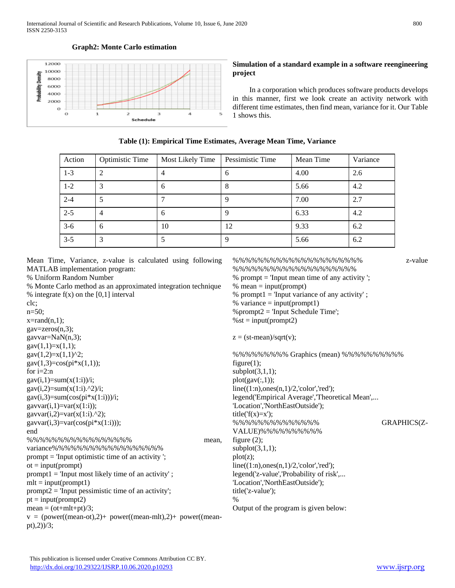

#### **Graph2: Monte Carlo estimation**

### **Simulation of a standard example in a software reengineering project**

 In a corporation which produces software products develops in this manner, first we look create an activity network with different time estimates, then find mean, variance for it. Our Table 1 shows this.

| Action  | <b>Optimistic Time</b> | Most Likely Time | Pessimistic Time | Mean Time | Variance |
|---------|------------------------|------------------|------------------|-----------|----------|
| $1 - 3$ | 2                      |                  | O                | 4.00      | 2.6      |
| $1 - 2$ | 3                      | 6                | 8                | 5.66      | 4.2      |
| $2 - 4$ |                        |                  |                  | 7.00      | 2.7      |
| $2 - 5$ | 4                      | 6                |                  | 6.33      | 4.2      |
| $3-6$   | 6                      | 10               | 12               | 9.33      | 6.2      |
| $3 - 5$ | 3                      |                  | 9                | 5.66      | 6.2      |

Mean Time, Variance, z-value is calculated using following MATLAB implementation program:

% Uniform Random Number

% Monte Carlo method as an approximated integration technique % integrate  $f(x)$  on the [0,1] interval

clc;  $n=50$ :  $x = rand(n,1);$  $gav = zeros(n,3);$ gavvar=NaN(n,3);  $gav(1,1)=x(1,1);$ gav $(1,2)=x(1,1)^{2}$ ;  $gav(1,3)=cos(pi*x(1,1));$ for  $i=2:n$  $gav(i,1)=sum(x(1:i))/i;$ gav(i,2)=sum(x(1:i).^2)/i;  $\text{gav}(i,3)=\text{sum}(\cos(\text{pi}^*x(1:i)))/i;$ gavvar $(i,1)=var(x(1:i));$ gavvar $(i,2)=var(x(1:i).^2);$ gavvar $(i,3)=var(cos(pi*x(1:i)))$ ; end %%%%%%%%%%%%%%%%% mean, variance%%%%%%%%%%%%%%%%%% prompt = 'Input optimistic time of an activity ';  $ot = input(prompt)$  $prompt1 = Input most likely time of an activity';$  $mlt = input(prompt1)$ prompt2 = 'Input pessimistic time of an activity';  $pt = input(prompt2)$  $mean = (ot+mlt+pt)/3;$  $v = (power((mean-ot),2) + power((mean-mlt),2) + power((mean$ pt),2))/3;

%%%%%%%%%%%%%%%%%%%%% z-value %%%%%%%%%%%%%%%%%%%% % prompt = 'Input mean time of any activity ';  $%$  mean = input(prompt) % prompt $1 =$  'Input variance of any activity'; % variance  $=$  input(prompt1)  $\%$  prompt $2 =$  'Input Schedule Time';  $%$ st = input(prompt2)  $z = (st-mean)/sqrt(v);$ %%%%%%%%% Graphics (mean) %%%%%%%%%% figure $(1)$ ;  $subplot(3,1,1);$  $plot(gav(:,1));$  $line((1:n),ones(n,1)/2,'color',red')$ ; legend('Empirical Average','Theoretical Mean',... 'Location','NorthEastOutside'); title( $f(x)=x$ ); %%%%%%%%%%%%%% GRAPHICS(Z-VALUE)%%%%%%%%%% figure (2);  $subplot(3,1,1);$ plot(z);  $line((1:n)$ ,ones $(n,1)/2$ ,'color','red'); legend('z-value','Probability of risk',... 'Location','NorthEastOutside'); title('z-value'); % Output of the program is given below: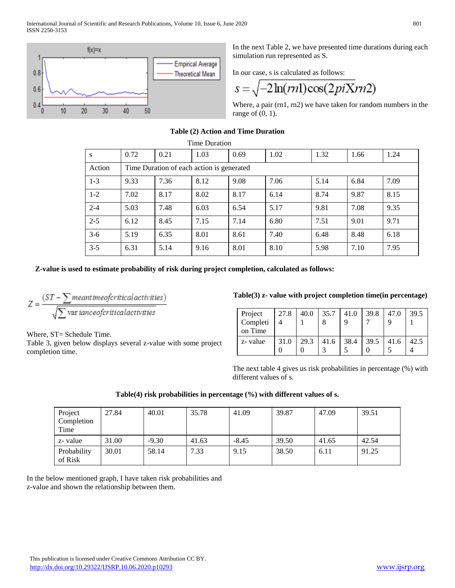

In the next Table 2, we have presented time durations during each simulation run represented as S.

In our case, s is calculated as follows:

$$
s = \sqrt{-2\ln(rn)\cos(2piX)}r
$$

Where, a pair (rn1, rn2) we have taken for random numbers in the range of  $(0, 1)$ .

# **Table (2) Action and Time Duration**

| Time Duration |                                           |      |      |      |      |      |      |      |
|---------------|-------------------------------------------|------|------|------|------|------|------|------|
| S             | 0.72                                      | 0.21 | 1.03 | 0.69 | 1.02 | 1.32 | 1.66 | 1.24 |
| Action        | Time Duration of each action is generated |      |      |      |      |      |      |      |
| $1 - 3$       | 9.33                                      | 7.36 | 8.12 | 9.08 | 7.06 | 5.14 | 6.84 | 7.09 |
| $1-2$         | 7.02                                      | 8.17 | 8.02 | 8.17 | 6.14 | 8.74 | 9.87 | 8.15 |
| $2 - 4$       | 5.03                                      | 7.48 | 6.03 | 6.54 | 5.17 | 9.81 | 7.08 | 9.35 |
| $2 - 5$       | 6.12                                      | 8.45 | 7.15 | 7.14 | 6.80 | 7.51 | 9.01 | 9.71 |
| $3-6$         | 5.19                                      | 6.35 | 8.01 | 8.61 | 7.40 | 6.48 | 8.48 | 6.18 |
| $3 - 5$       | 6.31                                      | 5.14 | 9.16 | 8.01 | 8.10 | 5.98 | 7.10 | 7.95 |

**Z-value is used to estimate probability of risk during project completion, calculated as follows:**

$$
Z = \frac{(ST - \sum mean time of critical activities)}{\sqrt{\sum \text{var} iance of critical activities}}
$$

Where, ST= Schedule Time.

Table 3, given below displays several z-value with some project completion time.

# **Table(3) z- value with project completion time(in percentage)**

| Project<br>Completi<br>on Time | 27.8 | 40.0 | 35.7 | 41.0 | 39.8 | 47.0 | 39.5 |
|--------------------------------|------|------|------|------|------|------|------|
| z-value                        | 31.0 | 29.3 | 41.6 | 38.4 | 39.5 | 41.6 | 42.5 |

The next table 4 gives us risk probabilities in percentage (%) with different values of s.

# **Table(4) risk probabilities in percentage (%) with different values of s.**

| Project<br>Completion<br>Time | 27.84 | 40.01   | 35.78 | 41.09   | 39.87 | 47.09 | 39.51 |
|-------------------------------|-------|---------|-------|---------|-------|-------|-------|
| z-value                       | 31.00 | $-9.30$ | 41.63 | $-8.45$ | 39.50 | 41.65 | 42.54 |
| Probability<br>of Risk        | 30.01 | 58.14   | 7.33  | 9.15    | 38.50 | 6.11  | 91.25 |

In the below mentioned graph, I have taken risk probabilities and z-value and shown the relationship between them.